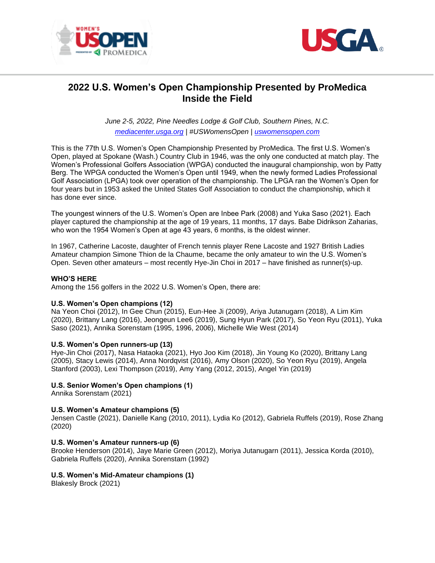



# **2022 U.S. Women's Open Championship Presented by ProMedica Inside the Field**

*June 2-5, 2022, Pine Needles Lodge & Golf Club, Southern Pines, N.C. [mediacenter.usga.org](https://nam05.safelinks.protection.outlook.com/?url=http%3A%2F%2Ficm-tracking.meltwater.com%2Flink.php%3FDynEngagement%3Dtrue%26H%3D5eXH0qSKdBRphS6WO4YlQwwSTi8wtQOqejFjZKiddbCzZ5Bbl4XDYbeR79uuHg6waEI7R5sYLjS871CHzV9EY2qnZuzB1AVpxN%252BU%252BzdN0xQMCZbDdZFiVw%253D%253D%26G%3D0%26R%3Dhttp%253A%252F%252Fmediacenter.usga.org%252Fus-womens-open%26I%3D20190523173502.00000287835f%2540mail6-43-usnbn1%26X%3DMHwxMDQ2NzU4OjVjZTZkOWM0ZjNkY2U3MmQ4NDY3OTAxNzsxfDEwNDY3NTk6dHJ1ZTs%253D%26S%3DXLVTaWSJNJiB_XmXGFr9pB1TlMwokZv2t1yC8VeSsCY&data=02%7C01%7CAMorton%40USGA.org%7Cb0c41cc5c42f402f0e0b08d6dfa5e379%7C17abf7083a064391bdbd06808d1b9f81%7C0%7C0%7C636942300907475029&sdata=2%2FMYchHAIlC%2FvQjJeBDyJCkNpvkIHmbva272GtpVw54%3D&reserved=0) | #USWomensOpen | [uswomensopen.com](https://nam05.safelinks.protection.outlook.com/?url=http%3A%2F%2Ficm-tracking.meltwater.com%2Flink.php%3FDynEngagement%3Dtrue%26H%3D5eXH0qSKdBRphS6WO4YlQwwSTi8wtQOqejFjZKiddbCzZ5Bbl4XDYbeR79uuHg6waEI7R5sYLjS871CHzV9EY2qnZuzB1AVpxN%252BU%252BzdN0xQMCZbDdZFiVw%253D%253D%26G%3D0%26R%3Dhttp%253A%252F%252Fwww.uswomensopen.com%252F%26I%3D20190523173502.00000287835f%2540mail6-43-usnbn1%26X%3DMHwxMDQ2NzU4OjVjZTZkOWM0ZjNkY2U3MmQ4NDY3OTAxNzsxfDEwNDY3NTk6dHJ1ZTs%253D%26S%3DEXZDlaqIcdqPMUhuD6WhcLLxvywTlWbOOiXJeJq6GIc&data=02%7C01%7CAMorton%40USGA.org%7Cb0c41cc5c42f402f0e0b08d6dfa5e379%7C17abf7083a064391bdbd06808d1b9f81%7C0%7C0%7C636942300907485022&sdata=76dzJx44xtr6zAMZFYcjdgU08sAll3Mn%2FdLlHghUYaw%3D&reserved=0)*

This is the 77th U.S. Women's Open Championship Presented by ProMedica. The first U.S. Women's Open, played at Spokane (Wash.) Country Club in 1946, was the only one conducted at match play. The Women's Professional Golfers Association (WPGA) conducted the inaugural championship, won by Patty Berg. The WPGA conducted the Women's Open until 1949, when the newly formed Ladies Professional Golf Association (LPGA) took over operation of the championship. The LPGA ran the Women's Open for four years but in 1953 asked the United States Golf Association to conduct the championship, which it has done ever since.

The youngest winners of the U.S. Women's Open are Inbee Park (2008) and Yuka Saso (2021). Each player captured the championship at the age of 19 years, 11 months, 17 days. Babe Didrikson Zaharias, who won the 1954 Women's Open at age 43 years, 6 months, is the oldest winner.

In 1967, Catherine Lacoste, daughter of French tennis player Rene Lacoste and 1927 British Ladies Amateur champion Simone Thion de la Chaume, became the only amateur to win the U.S. Women's Open. Seven other amateurs – most recently Hye-Jin Choi in 2017 – have finished as runner(s)-up.

## **WHO'S HERE**

Among the 156 golfers in the 2022 U.S. Women's Open, there are:

# **U.S. Women's Open champions (12)**

Na Yeon Choi (2012), In Gee Chun (2015), Eun-Hee Ji (2009), Ariya Jutanugarn (2018), A Lim Kim (2020), Brittany Lang (2016), Jeongeun Lee6 (2019), Sung Hyun Park (2017), So Yeon Ryu (2011), Yuka Saso (2021), Annika Sorenstam (1995, 1996, 2006), Michelle Wie West (2014)

## **U.S. Women's Open runners-up (13)**

Hye-Jin Choi (2017), Nasa Hataoka (2021), Hyo Joo Kim (2018), Jin Young Ko (2020), Brittany Lang (2005), Stacy Lewis (2014), Anna Nordqvist (2016), Amy Olson (2020), So Yeon Ryu (2019), Angela Stanford (2003), Lexi Thompson (2019), Amy Yang (2012, 2015), Angel Yin (2019)

# **U.S. Senior Women's Open champions (1)**

Annika Sorenstam (2021)

## **U.S. Women's Amateur champions (5)**

Jensen Castle (2021), Danielle Kang (2010, 2011), Lydia Ko (2012), Gabriela Ruffels (2019), Rose Zhang (2020)

## **U.S. Women's Amateur runners-up (6)**

Brooke Henderson (2014), Jaye Marie Green (2012), Moriya Jutanugarn (2011), Jessica Korda (2010), Gabriela Ruffels (2020), Annika Sorenstam (1992)

## **U.S. Women's Mid-Amateur champions (1)**

Blakesly Brock (2021)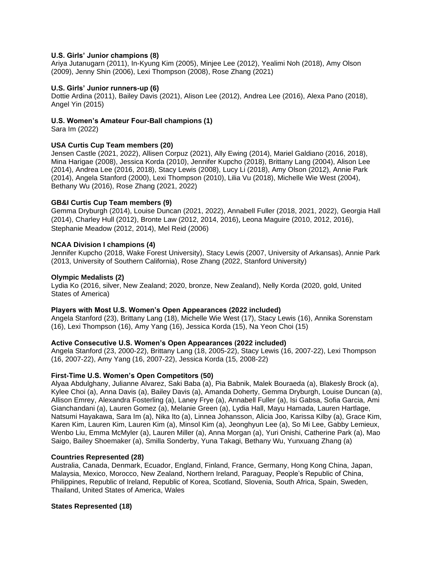## **U.S. Girls' Junior champions (8)**

Ariya Jutanugarn (2011), In-Kyung Kim (2005), Minjee Lee (2012), Yealimi Noh (2018), Amy Olson (2009), Jenny Shin (2006), Lexi Thompson (2008), Rose Zhang (2021)

# **U.S. Girls' Junior runners-up (6)**

Dottie Ardina (2011), Bailey Davis (2021), Alison Lee (2012), Andrea Lee (2016), Alexa Pano (2018), Angel Yin (2015)

## **U.S. Women's Amateur Four-Ball champions (1)**

Sara Im (2022)

# **USA Curtis Cup Team members (20)**

Jensen Castle (2021, 2022), Allisen Corpuz (2021), Ally Ewing (2014), Mariel Galdiano (2016, 2018), Mina Harigae (2008), Jessica Korda (2010), Jennifer Kupcho (2018), Brittany Lang (2004), Alison Lee (2014), Andrea Lee (2016, 2018), Stacy Lewis (2008), Lucy Li (2018), Amy Olson (2012), Annie Park (2014), Angela Stanford (2000), Lexi Thompson (2010), Lilia Vu (2018), Michelle Wie West (2004), Bethany Wu (2016), Rose Zhang (2021, 2022)

## **GB&I Curtis Cup Team members (9)**

Gemma Dryburgh (2014), Louise Duncan (2021, 2022), Annabell Fuller (2018, 2021, 2022), Georgia Hall (2014), Charley Hull (2012), Bronte Law (2012, 2014, 2016), Leona Maguire (2010, 2012, 2016), Stephanie Meadow (2012, 2014), Mel Reid (2006)

## **NCAA Division I champions (4)**

Jennifer Kupcho (2018, Wake Forest University), Stacy Lewis (2007, University of Arkansas), Annie Park (2013, University of Southern California), Rose Zhang (2022, Stanford University)

# **Olympic Medalists (2)**

Lydia Ko (2016, silver, New Zealand; 2020, bronze, New Zealand), Nelly Korda (2020, gold, United States of America)

## **Players with Most U.S. Women's Open Appearances (2022 included)**

Angela Stanford (23), Brittany Lang (18), Michelle Wie West (17), Stacy Lewis (16), Annika Sorenstam (16), Lexi Thompson (16), Amy Yang (16), Jessica Korda (15), Na Yeon Choi (15)

## **Active Consecutive U.S. Women's Open Appearances (2022 included)**

Angela Stanford (23, 2000-22), Brittany Lang (18, 2005-22), Stacy Lewis (16, 2007-22), Lexi Thompson (16, 2007-22), Amy Yang (16, 2007-22), Jessica Korda (15, 2008-22)

## **First-Time U.S. Women's Open Competitors (50)**

Alyaa Abdulghany, Julianne Alvarez, Saki Baba (a), Pia Babnik, Malek Bouraeda (a), Blakesly Brock (a), Kylee Choi (a), Anna Davis (a), Bailey Davis (a), Amanda Doherty, Gemma Dryburgh, Louise Duncan (a), Allison Emrey, Alexandra Fosterling (a), Laney Frye (a), Annabell Fuller (a), Isi Gabsa, Sofia Garcia, Ami Gianchandani (a), Lauren Gomez (a), Melanie Green (a), Lydia Hall, Mayu Hamada, Lauren Hartlage, Natsumi Hayakawa, Sara Im (a), Nika Ito (a), Linnea Johansson, Alicia Joo, Karissa Kilby (a), Grace Kim, Karen Kim, Lauren Kim, Lauren Kim (a), Minsol Kim (a), Jeonghyun Lee (a), So Mi Lee, Gabby Lemieux, Wenbo Liu, Emma McMyler (a), Lauren Miller (a), Anna Morgan (a), Yuri Onishi, Catherine Park (a), Mao Saigo, Bailey Shoemaker (a), Smilla Sonderby, Yuna Takagi, Bethany Wu, Yunxuang Zhang (a)

## **Countries Represented (28)**

Australia, Canada, Denmark, Ecuador, England, Finland, France, Germany, Hong Kong China, Japan, Malaysia, Mexico, Morocco, New Zealand, Northern Ireland, Paraguay, People's Republic of China, Philippines, Republic of Ireland, Republic of Korea, Scotland, Slovenia, South Africa, Spain, Sweden, Thailand, United States of America, Wales

## **States Represented (18)**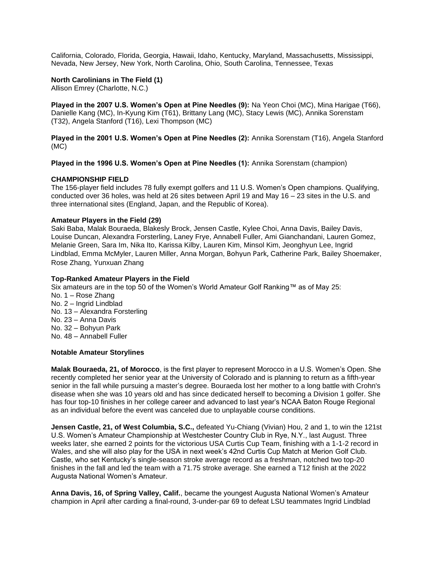California, Colorado, Florida, Georgia, Hawaii, Idaho, Kentucky, Maryland, Massachusetts, Mississippi, Nevada, New Jersey, New York, North Carolina, Ohio, South Carolina, Tennessee, Texas

#### **North Carolinians in The Field (1)**

Allison Emrey (Charlotte, N.C.)

**Played in the 2007 U.S. Women's Open at Pine Needles (9):** Na Yeon Choi (MC), Mina Harigae (T66), Danielle Kang (MC), In-Kyung Kim (T61), Brittany Lang (MC), Stacy Lewis (MC), Annika Sorenstam (T32), Angela Stanford (T16), Lexi Thompson (MC)

**Played in the 2001 U.S. Women's Open at Pine Needles (2):** Annika Sorenstam (T16), Angela Stanford (MC)

**Played in the 1996 U.S. Women's Open at Pine Needles (1):** Annika Sorenstam (champion)

#### **CHAMPIONSHIP FIELD**

The 156-player field includes 78 fully exempt golfers and 11 U.S. Women's Open champions. Qualifying, conducted over 36 holes, was held at 26 sites between April 19 and May 16 – 23 sites in the U.S. and three international sites (England, Japan, and the Republic of Korea).

#### **Amateur Players in the Field (29)**

Saki Baba, Malak Bouraeda, Blakesly Brock, Jensen Castle, Kylee Choi, Anna Davis, Bailey Davis, Louise Duncan, Alexandra Forsterling, Laney Frye, Annabell Fuller, Ami Gianchandani, Lauren Gomez, Melanie Green, Sara Im, Nika Ito, Karissa Kilby, Lauren Kim, Minsol Kim, Jeonghyun Lee, Ingrid Lindblad, Emma McMyler, Lauren Miller, Anna Morgan, Bohyun Park, Catherine Park, Bailey Shoemaker, Rose Zhang, Yunxuan Zhang

#### **Top-Ranked Amateur Players in the Field**

Six amateurs are in the top 50 of the Women's World Amateur Golf Ranking™ as of May 25: No. 1 – Rose Zhang No. 2 – Ingrid Lindblad No. 13 – Alexandra Forsterling No. 23 – Anna Davis No. 32 – Bohyun Park No. 48 – Annabell Fuller

## **Notable Amateur Storylines**

**Malak Bouraeda, 21, of Morocco**, is the first player to represent Morocco in a U.S. Women's Open. She recently completed her senior year at the University of Colorado and is planning to return as a fifth-year senior in the fall while pursuing a master's degree. Bouraeda lost her mother to a long battle with Crohn's disease when she was 10 years old and has since dedicated herself to becoming a Division 1 golfer. She has four top-10 finishes in her college career and advanced to last year's NCAA Baton Rouge Regional as an individual before the event was canceled due to unplayable course conditions.

**Jensen Castle, 21, of West Columbia, S.C.,** defeated Yu-Chiang (Vivian) Hou, 2 and 1, to win the 121st U.S. Women's Amateur Championship at Westchester Country Club in Rye, N.Y., last August. Three weeks later, she earned 2 points for the victorious USA Curtis Cup Team, finishing with a 1-1-2 record in Wales, and she will also play for the USA in next week's 42nd Curtis Cup Match at Merion Golf Club. Castle, who set Kentucky's single-season stroke average record as a freshman, notched two top-20 finishes in the fall and led the team with a 71.75 stroke average. She earned a T12 finish at the 2022 Augusta National Women's Amateur.

**Anna Davis, 16, of Spring Valley, Calif.**, became the youngest Augusta National Women's Amateur champion in April after carding a final-round, 3-under-par 69 to defeat LSU teammates Ingrid Lindblad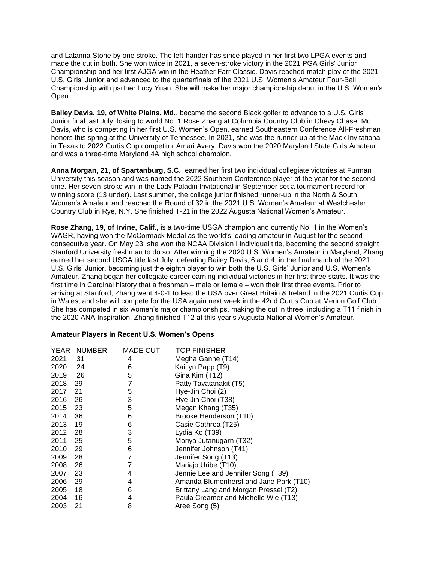and Latanna Stone by one stroke. The left-hander has since played in her first two LPGA events and made the cut in both. She won twice in 2021, a seven-stroke victory in the 2021 PGA Girls' Junior Championship and her first AJGA win in the Heather Farr Classic. Davis reached match play of the 2021 U.S. Girls' Junior and advanced to the quarterfinals of the 2021 U.S. Women's Amateur Four-Ball Championship with partner Lucy Yuan. She will make her major championship debut in the U.S. Women's Open.

**Bailey Davis, 19, of White Plains, Md.**, became the second Black golfer to advance to a U.S. Girls' Junior final last July, losing to world No. 1 Rose Zhang at Columbia Country Club in Chevy Chase, Md. Davis, who is competing in her first U.S. Women's Open, earned Southeastern Conference All-Freshman honors this spring at the University of Tennessee. In 2021, she was the runner-up at the Mack Invitational in Texas to 2022 Curtis Cup competitor Amari Avery. Davis won the 2020 Maryland State Girls Amateur and was a three-time Maryland 4A high school champion.

**Anna Morgan, 21, of Spartanburg, S.C.**, earned her first two individual collegiate victories at Furman University this season and was named the 2022 Southern Conference player of the year for the second time. Her seven-stroke win in the Lady Paladin Invitational in September set a tournament record for winning score (13 under). Last summer, the college junior finished runner-up in the North & South Women's Amateur and reached the Round of 32 in the 2021 U.S. Women's Amateur at Westchester Country Club in Rye, N.Y. She finished T-21 in the 2022 Augusta National Women's Amateur.

**Rose Zhang, 19, of Irvine, Calif.,** is a two-time USGA champion and currently No. 1 in the Women's WAGR, having won the McCormack Medal as the world's leading amateur in August for the second consecutive year. On May 23, she won the NCAA Division I individual title, becoming the second straight Stanford University freshman to do so. After winning the 2020 U.S. Women's Amateur in Maryland, Zhang earned her second USGA title last July, defeating Bailey Davis, 6 and 4, in the final match of the 2021 U.S. Girls' Junior, becoming just the eighth player to win both the U.S. Girls' Junior and U.S. Women's Amateur. Zhang began her collegiate career earning individual victories in her first three starts. It was the first time in Cardinal history that a freshman – male or female – won their first three events. Prior to arriving at Stanford, Zhang went 4-0-1 to lead the USA over Great Britain & Ireland in the 2021 Curtis Cup in Wales, and she will compete for the USA again next week in the 42nd Curtis Cup at Merion Golf Club. She has competed in six women's major championships, making the cut in three, including a T11 finish in the 2020 ANA Inspiration. Zhang finished T12 at this year's Augusta National Women's Amateur.

## **Amateur Players in Recent U.S. Women's Opens**

|      | YEAR NUMBER | MADE CUT | <b>TOP FINISHER</b>                    |
|------|-------------|----------|----------------------------------------|
| 2021 | - 31        | 4        | Megha Ganne (T14)                      |
| 2020 | 24          | 6        | Kaitlyn Papp (T9)                      |
| 2019 | - 26        | 5        | Gina Kim (T12)                         |
| 2018 | 29          | 7        | Patty Tavatanakit (T5)                 |
| 2017 | 21          | 5        | Hye-Jin Choi (2)                       |
| 2016 | 26          | 3        | Hye-Jin Choi (T38)                     |
| 2015 | - 23        | 5        | Megan Khang (T35)                      |
| 2014 | 36          | 6        | Brooke Henderson (T10)                 |
| 2013 | - 19        | 6        | Casie Cathrea (T25)                    |
| 2012 | - 28        | 3        | Lydia Ko (T39)                         |
| 2011 | - 25        | 5        | Moriya Jutanugarn (T32)                |
| 2010 | - 29        | 6        | Jennifer Johnson (T41)                 |
| 2009 | - 28        | 7        | Jennifer Song (T13)                    |
| 2008 | 26          | 7        | Mariajo Uribe (T10)                    |
| 2007 | 23          | 4        | Jennie Lee and Jennifer Song (T39)     |
| 2006 | 29          | 4        | Amanda Blumenherst and Jane Park (T10) |
| 2005 | 18          | 6        | Brittany Lang and Morgan Pressel (T2)  |
| 2004 | 16          | 4        | Paula Creamer and Michelle Wie (T13)   |
| 2003 | 21          | 8        | Aree Song (5)                          |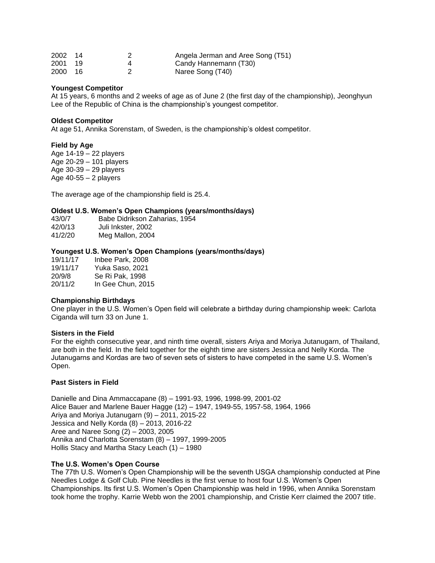| 2002 | -14  | Angela Jerman and Aree Song (T51) |
|------|------|-----------------------------------|
| 2001 | - 19 | Candy Hannemann (T30)             |
| 2000 | - 16 | Naree Song (T40)                  |

#### **Youngest Competitor**

At 15 years, 6 months and 2 weeks of age as of June 2 (the first day of the championship), Jeonghyun Lee of the Republic of China is the championship's youngest competitor.

#### **Oldest Competitor**

At age 51, Annika Sorenstam, of Sweden, is the championship's oldest competitor.

#### **Field by Age**

Age 14-19 – 22 players Age 20-29 – 101 players Age 30-39 – 29 players Age  $40-55 - 2$  players

The average age of the championship field is 25.4.

# **Oldest U.S. Women's Open Champions (years/months/days)**

| 43/0/7  | Babe Didrikson Zaharias, 1954 |
|---------|-------------------------------|
| 42/0/13 | Juli Inkster, 2002            |
| 41/2/20 | Meg Mallon, 2004              |

#### **Youngest U.S. Women's Open Champions (years/months/days)**

| 19/11/17 | Inbee Park, 2008  |
|----------|-------------------|
| 19/11/17 | Yuka Saso. 2021   |
| 20/9/8   | Se Ri Pak. 1998   |
| 20/11/2  | In Gee Chun, 2015 |

## **Championship Birthdays**

One player in the U.S. Women's Open field will celebrate a birthday during championship week: Carlota Ciganda will turn 33 on June 1.

#### **Sisters in the Field**

For the eighth consecutive year, and ninth time overall, sisters Ariya and Moriya Jutanugarn, of Thailand, are both in the field. In the field together for the eighth time are sisters Jessica and Nelly Korda. The Jutanugarns and Kordas are two of seven sets of sisters to have competed in the same U.S. Women's Open.

## **Past Sisters in Field**

Danielle and Dina Ammaccapane (8) – 1991-93, 1996, 1998-99, 2001-02 Alice Bauer and Marlene Bauer Hagge (12) – 1947, 1949-55, 1957-58, 1964, 1966 Ariya and Moriya Jutanugarn (9) – 2011, 2015-22 Jessica and Nelly Korda (8) – 2013, 2016-22 Aree and Naree Song (2) – 2003, 2005 Annika and Charlotta Sorenstam (8) – 1997, 1999-2005 Hollis Stacy and Martha Stacy Leach (1) – 1980

## **The U.S. Women's Open Course**

The 77th U.S. Women's Open Championship will be the seventh USGA championship conducted at Pine Needles Lodge & Golf Club. Pine Needles is the first venue to host four U.S. Women's Open Championships. Its first U.S. Women's Open Championship was held in 1996, when Annika Sorenstam took home the trophy. Karrie Webb won the 2001 championship, and Cristie Kerr claimed the 2007 title.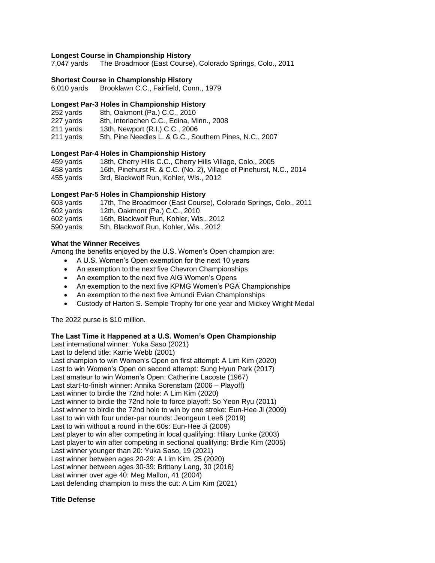## **Longest Course in Championship History**

7,047 yards The Broadmoor (East Course), Colorado Springs, Colo., 2011

## **Shortest Course in Championship History**

6,010 yards Brooklawn C.C., Fairfield, Conn., 1979

## **Longest Par-3 Holes in Championship History**

- 252 yards 8th, Oakmont (Pa.) C.C., 2010
- 227 yards 8th, Interlachen C.C., Edina, Minn., 2008<br>211 yards 13th, Newport (R.I.) C.C., 2006
- 13th, Newport (R.I.) C.C., 2006
- 211 yards 5th, Pine Needles L. & G.C., Southern Pines, N.C., 2007

# **Longest Par-4 Holes in Championship History**

| 459 vards | 18th, Cherry Hills C.C., Cherry Hills Village, Colo., 2005          |
|-----------|---------------------------------------------------------------------|
| 458 yards | 16th, Pinehurst R. & C.C. (No. 2), Village of Pinehurst, N.C., 2014 |
| 455 yards | 3rd, Blackwolf Run, Kohler, Wis., 2012                              |

# **Longest Par-5 Holes in Championship History**

| 603 yards | 17th, The Broadmoor (East Course), Colorado Springs, Colo., 2011 |
|-----------|------------------------------------------------------------------|
| 602 yards | 12th, Oakmont (Pa.) C.C., 2010                                   |
| 602 yards | 16th, Blackwolf Run, Kohler, Wis., 2012                          |
| 590 yards | 5th. Blackwolf Run. Kohler. Wis., 2012                           |

# **What the Winner Receives**

Among the benefits enjoyed by the U.S. Women's Open champion are:

- A U.S. Women's Open exemption for the next 10 years
- An exemption to the next five Chevron Championships
- An exemption to the next five AIG Women's Opens
- An exemption to the next five KPMG Women's PGA Championships
- An exemption to the next five Amundi Evian Championships
- Custody of Harton S. Semple Trophy for one year and Mickey Wright Medal

The 2022 purse is \$10 million.

## **The Last Time it Happened at a U.S. Women's Open Championship**

Last international winner: Yuka Saso (2021) Last to defend title: Karrie Webb (2001) Last champion to win Women's Open on first attempt: A Lim Kim (2020) Last to win Women's Open on second attempt: Sung Hyun Park (2017) Last amateur to win Women's Open: Catherine Lacoste (1967) Last start-to-finish winner: Annika Sorenstam (2006 – Playoff) Last winner to birdie the 72nd hole: A Lim Kim (2020) Last winner to birdie the 72nd hole to force playoff: So Yeon Ryu (2011) Last winner to birdie the 72nd hole to win by one stroke: Eun-Hee Ji (2009) Last to win with four under-par rounds: Jeongeun Lee6 (2019) Last to win without a round in the 60s: Eun-Hee Ji (2009) Last player to win after competing in local qualifying: Hilary Lunke (2003) Last player to win after competing in sectional qualifying: Birdie Kim (2005) Last winner younger than 20: Yuka Saso, 19 (2021) Last winner between ages 20-29: A Lim Kim, 25 (2020) Last winner between ages 30-39: Brittany Lang, 30 (2016) Last winner over age 40: Meg Mallon, 41 (2004) Last defending champion to miss the cut: A Lim Kim (2021)

## **Title Defense**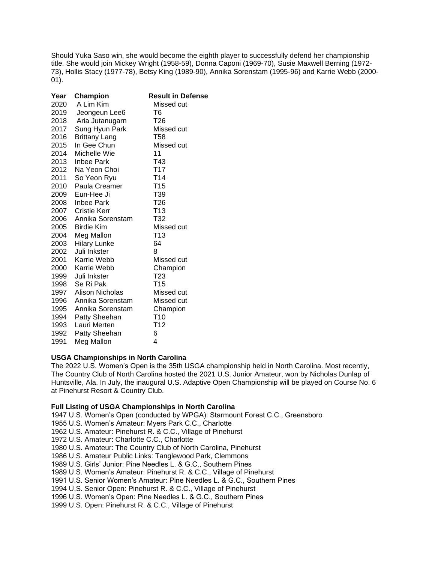Should Yuka Saso win, she would become the eighth player to successfully defend her championship title. She would join Mickey Wright (1958-59), Donna Caponi (1969-70), Susie Maxwell Berning (1972- 73), Hollis Stacy (1977-78), Betsy King (1989-90), Annika Sorenstam (1995-96) and Karrie Webb (2000- 01).

| Year | Champion             | <b>Result in Defense</b> |
|------|----------------------|--------------------------|
| 2020 | A Lim Kim            | Missed cut               |
| 2019 | Jeongeun Lee6        | T6                       |
| 2018 | Aria Jutanugarn      | T26                      |
| 2017 | Sung Hyun Park       | Missed cut               |
| 2016 | <b>Brittany Lang</b> | <b>T58</b>               |
| 2015 | In Gee Chun          | Missed cut               |
| 2014 | Michelle Wie         | 11                       |
| 2013 | Inbee Park           | T43                      |
| 2012 | Na Yeon Choi         | T <sub>17</sub>          |
| 2011 | So Yeon Ryu          | T <sub>14</sub>          |
| 2010 | Paula Creamer        | T15                      |
| 2009 | Eun-Hee Ji           | T39                      |
| 2008 | Inbee Park           | T26                      |
| 2007 | Cristie Kerr         | T <sub>13</sub>          |
| 2006 | Annika Sorenstam     | T32                      |
| 2005 | <b>Birdie Kim</b>    | Missed cut               |
| 2004 | Meg Mallon           | T13                      |
| 2003 | <b>Hilary Lunke</b>  | 64                       |
| 2002 | Juli Inkster         | 8                        |
| 2001 | Karrie Webb          | Missed cut               |
| 2000 | Karrie Webb          | Champion                 |
| 1999 | Juli Inkster         | T23                      |
| 1998 | Se Ri Pak            | T15                      |
| 1997 | Alison Nicholas      | Missed cut               |
| 1996 | Annika Sorenstam     | Missed cut               |
| 1995 | Annika Sorenstam     | Champion                 |
| 1994 | Patty Sheehan        | T <sub>10</sub>          |
| 1993 | Lauri Merten         | T <sub>12</sub>          |
| 1992 | Patty Sheehan        | 6                        |
| 1991 | Meg Mallon           | 4                        |

## **USGA Championships in North Carolina**

The 2022 U.S. Women's Open is the 35th USGA championship held in North Carolina. Most recently, The Country Club of North Carolina hosted the 2021 U.S. Junior Amateur, won by Nicholas Dunlap of Huntsville, Ala. In July, the inaugural U.S. Adaptive Open Championship will be played on Course No. 6 at Pinehurst Resort & Country Club.

## **Full Listing of USGA Championships in North Carolina**

1947 U.S. Women's Open (conducted by WPGA): Starmount Forest C.C., Greensboro

- 1955 U.S. Women's Amateur: Myers Park C.C., Charlotte
- 1962 U.S. Amateur: Pinehurst R. & C.C., Village of Pinehurst
- 1972 U.S. Amateur: Charlotte C.C., Charlotte
- 1980 U.S. Amateur: The Country Club of North Carolina, Pinehurst
- 1986 U.S. Amateur Public Links: Tanglewood Park, Clemmons
- 1989 U.S. Girls' Junior: Pine Needles L. & G.C., Southern Pines
- 1989 U.S. Women's Amateur: Pinehurst R. & C.C., Village of Pinehurst
- 1991 U.S. Senior Women's Amateur: Pine Needles L. & G.C., Southern Pines
- 1994 U.S. Senior Open: Pinehurst R. & C.C., Village of Pinehurst
- 1996 U.S. Women's Open: Pine Needles L. & G.C., Southern Pines
- 1999 U.S. Open: Pinehurst R. & C.C., Village of Pinehurst